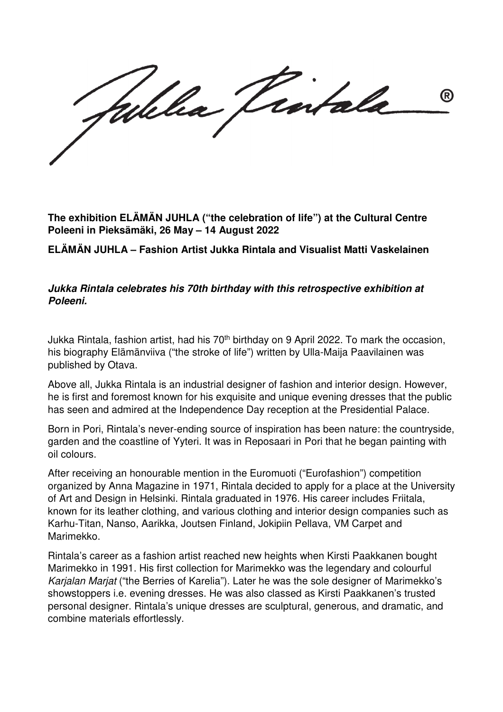®

**The exhibition ELÄMÄN JUHLA ("the celebration of life") at the Cultural Centre Poleeni in Pieksämäki, 26 May – 14 August 2022** 

**ELÄMÄN JUHLA – Fashion Artist Jukka Rintala and Visualist Matti Vaskelainen** 

## **Jukka Rintala celebrates his 70th birthday with this retrospective exhibition at Poleeni.**

Jukka Rintala, fashion artist, had his 70<sup>th</sup> birthday on 9 April 2022. To mark the occasion, his biography Elämänviiva ("the stroke of life") written by Ulla-Maija Paavilainen was published by Otava.

Above all, Jukka Rintala is an industrial designer of fashion and interior design. However, he is first and foremost known for his exquisite and unique evening dresses that the public has seen and admired at the Independence Day reception at the Presidential Palace.

Born in Pori, Rintala's never-ending source of inspiration has been nature: the countryside, garden and the coastline of Yyteri. It was in Reposaari in Pori that he began painting with oil colours.

After receiving an honourable mention in the Euromuoti ("Eurofashion") competition organized by Anna Magazine in 1971, Rintala decided to apply for a place at the University of Art and Design in Helsinki. Rintala graduated in 1976. His career includes Friitala, known for its leather clothing, and various clothing and interior design companies such as Karhu-Titan, Nanso, Aarikka, Joutsen Finland, Jokipiin Pellava, VM Carpet and Marimekko.

Rintala's career as a fashion artist reached new heights when Kirsti Paakkanen bought Marimekko in 1991. His first collection for Marimekko was the legendary and colourful Karjalan Marjat ("the Berries of Karelia"). Later he was the sole designer of Marimekko's showstoppers i.e. evening dresses. He was also classed as Kirsti Paakkanen's trusted personal designer. Rintala's unique dresses are sculptural, generous, and dramatic, and combine materials effortlessly.